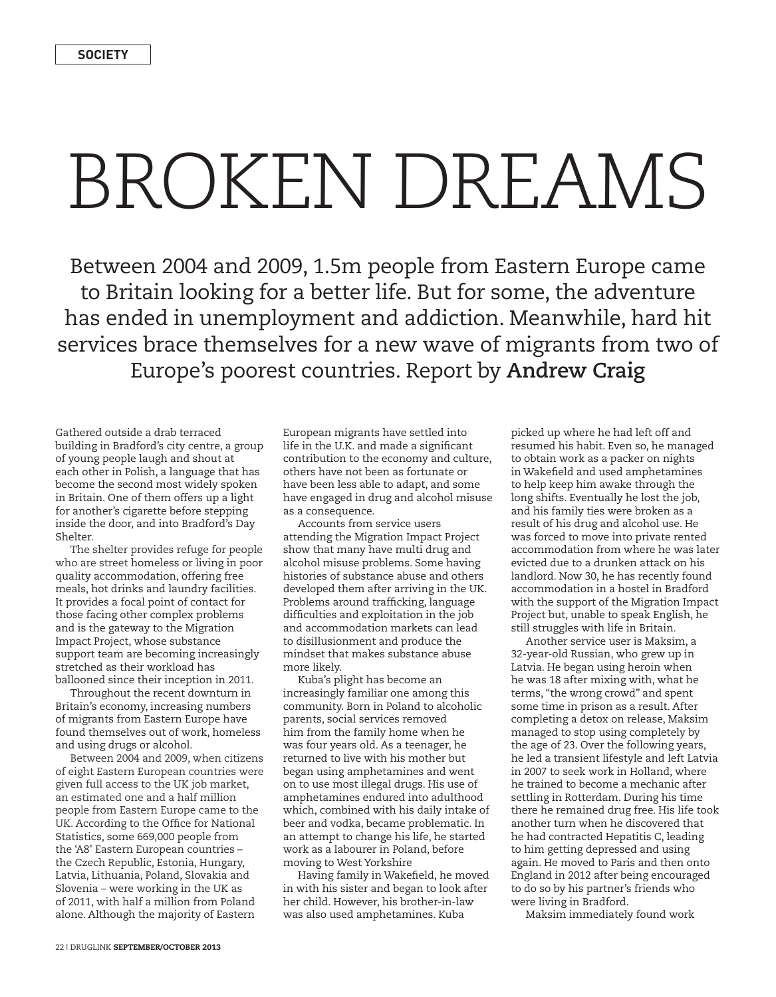## BROKEN DREAMS

Between 2004 and 2009, 1.5m people from Eastern Europe came to Britain looking for a better life. But for some, the adventure has ended in unemployment and addiction. Meanwhile, hard hit services brace themselves for a new wave of migrants from two of Europe's poorest countries. Report by **Andrew Craig**

Gathered outside a drab terraced building in Bradford's city centre, a group of young people laugh and shout at each other in Polish, a language that has become the second most widely spoken in Britain. One of them offers up a light for another's cigarette before stepping inside the door, and into Bradford's Day Shelter.

The shelter provides refuge for people who are street homeless or living in poor quality accommodation, offering free meals, hot drinks and laundry facilities. It provides a focal point of contact for those facing other complex problems and is the gateway to the Migration Impact Project, whose substance support team are becoming increasingly stretched as their workload has ballooned since their inception in 2011.

Throughout the recent downturn in Britain's economy, increasing numbers of migrants from Eastern Europe have found themselves out of work, homeless and using drugs or alcohol.

Between 2004 and 2009, when citizens of eight Eastern European countries were given full access to the UK job market, an estimated one and a half million people from Eastern Europe came to the UK. According to the Office for National Statistics, some 669,000 people from the 'A8' Eastern European countries – the Czech Republic, Estonia, Hungary, Latvia, Lithuania, Poland, Slovakia and Slovenia – were working in the UK as of 2011, with half a million from Poland alone. Although the majority of Eastern

European migrants have settled into life in the U.K. and made a significant contribution to the economy and culture, others have not been as fortunate or have been less able to adapt, and some have engaged in drug and alcohol misuse as a consequence.

Accounts from service users attending the Migration Impact Project show that many have multi drug and alcohol misuse problems. Some having histories of substance abuse and others developed them after arriving in the UK. Problems around trafficking, language difficulties and exploitation in the job and accommodation markets can lead to disillusionment and produce the mindset that makes substance abuse more likely.

Kuba's plight has become an increasingly familiar one among this community. Born in Poland to alcoholic parents, social services removed him from the family home when he was four years old. As a teenager, he returned to live with his mother but began using amphetamines and went on to use most illegal drugs. His use of amphetamines endured into adulthood which, combined with his daily intake of beer and vodka, became problematic. In an attempt to change his life, he started work as a labourer in Poland, before moving to West Yorkshire

Having family in Wakefield, he moved in with his sister and began to look after her child. However, his brother-in-law was also used amphetamines. Kuba

picked up where he had left off and resumed his habit. Even so, he managed to obtain work as a packer on nights in Wakefield and used amphetamines to help keep him awake through the long shifts. Eventually he lost the job, and his family ties were broken as a result of his drug and alcohol use. He was forced to move into private rented accommodation from where he was later evicted due to a drunken attack on his landlord. Now 30, he has recently found accommodation in a hostel in Bradford with the support of the Migration Impact Project but, unable to speak English, he still struggles with life in Britain.

Another service user is Maksim, a 32-year-old Russian, who grew up in Latvia. He began using heroin when he was 18 after mixing with, what he terms, "the wrong crowd" and spent some time in prison as a result. After completing a detox on release, Maksim managed to stop using completely by the age of 23. Over the following years, he led a transient lifestyle and left Latvia in 2007 to seek work in Holland, where he trained to become a mechanic after settling in Rotterdam. During his time there he remained drug free. His life took another turn when he discovered that he had contracted Hepatitis C, leading to him getting depressed and using again. He moved to Paris and then onto England in 2012 after being encouraged to do so by his partner's friends who were living in Bradford.

Maksim immediately found work